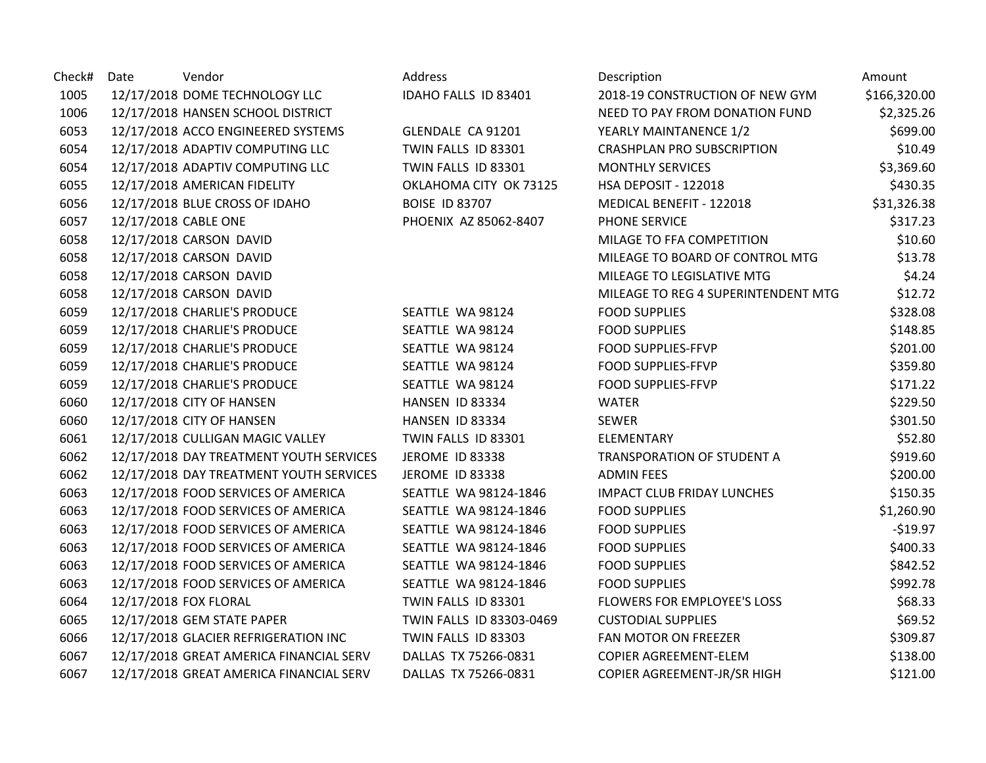| Check# | Date | Vendor                                  | Address                  | Description                         | Amount       |
|--------|------|-----------------------------------------|--------------------------|-------------------------------------|--------------|
| 1005   |      | 12/17/2018 DOME TECHNOLOGY LLC          | IDAHO FALLS ID 83401     | 2018-19 CONSTRUCTION OF NEW GYM     | \$166,320.00 |
| 1006   |      | 12/17/2018 HANSEN SCHOOL DISTRICT       |                          | NEED TO PAY FROM DONATION FUND      | \$2,325.26   |
| 6053   |      | 12/17/2018 ACCO ENGINEERED SYSTEMS      | GLENDALE CA 91201        | YEARLY MAINTANENCE 1/2              | \$699.00     |
| 6054   |      | 12/17/2018 ADAPTIV COMPUTING LLC        | TWIN FALLS ID 83301      | <b>CRASHPLAN PRO SUBSCRIPTION</b>   | \$10.49      |
| 6054   |      | 12/17/2018 ADAPTIV COMPUTING LLC        | TWIN FALLS ID 83301      | <b>MONTHLY SERVICES</b>             | \$3,369.60   |
| 6055   |      | 12/17/2018 AMERICAN FIDELITY            | OKLAHOMA CITY OK 73125   | HSA DEPOSIT - 122018                | \$430.35     |
| 6056   |      | 12/17/2018 BLUE CROSS OF IDAHO          | <b>BOISE ID 83707</b>    | MEDICAL BENEFIT - 122018            | \$31,326.38  |
| 6057   |      | 12/17/2018 CABLE ONE                    | PHOENIX AZ 85062-8407    | PHONE SERVICE                       | \$317.23     |
| 6058   |      | 12/17/2018 CARSON DAVID                 |                          | MILAGE TO FFA COMPETITION           | \$10.60      |
| 6058   |      | 12/17/2018 CARSON DAVID                 |                          | MILEAGE TO BOARD OF CONTROL MTG     | \$13.78      |
| 6058   |      | 12/17/2018 CARSON DAVID                 |                          | MILEAGE TO LEGISLATIVE MTG          | \$4.24       |
| 6058   |      | 12/17/2018 CARSON DAVID                 |                          | MILEAGE TO REG 4 SUPERINTENDENT MTG | \$12.72      |
| 6059   |      | 12/17/2018 CHARLIE'S PRODUCE            | SEATTLE WA 98124         | <b>FOOD SUPPLIES</b>                | \$328.08     |
| 6059   |      | 12/17/2018 CHARLIE'S PRODUCE            | SEATTLE WA 98124         | <b>FOOD SUPPLIES</b>                | \$148.85     |
| 6059   |      | 12/17/2018 CHARLIE'S PRODUCE            | SEATTLE WA 98124         | FOOD SUPPLIES-FFVP                  | \$201.00     |
| 6059   |      | 12/17/2018 CHARLIE'S PRODUCE            | SEATTLE WA 98124         | FOOD SUPPLIES-FFVP                  | \$359.80     |
| 6059   |      | 12/17/2018 CHARLIE'S PRODUCE            | SEATTLE WA 98124         | <b>FOOD SUPPLIES-FFVP</b>           | \$171.22     |
| 6060   |      | 12/17/2018 CITY OF HANSEN               | HANSEN ID 83334          | <b>WATER</b>                        | \$229.50     |
| 6060   |      | 12/17/2018 CITY OF HANSEN               | HANSEN ID 83334          | <b>SEWER</b>                        | \$301.50     |
| 6061   |      | 12/17/2018 CULLIGAN MAGIC VALLEY        | TWIN FALLS ID 83301      | ELEMENTARY                          | \$52.80      |
| 6062   |      | 12/17/2018 DAY TREATMENT YOUTH SERVICES | <b>JEROME ID 83338</b>   | TRANSPORATION OF STUDENT A          | \$919.60     |
| 6062   |      | 12/17/2018 DAY TREATMENT YOUTH SERVICES | <b>JEROME ID 83338</b>   | <b>ADMIN FEES</b>                   | \$200.00     |
| 6063   |      | 12/17/2018 FOOD SERVICES OF AMERICA     | SEATTLE WA 98124-1846    | <b>IMPACT CLUB FRIDAY LUNCHES</b>   | \$150.35     |
| 6063   |      | 12/17/2018 FOOD SERVICES OF AMERICA     | SEATTLE WA 98124-1846    | <b>FOOD SUPPLIES</b>                | \$1,260.90   |
| 6063   |      | 12/17/2018 FOOD SERVICES OF AMERICA     | SEATTLE WA 98124-1846    | <b>FOOD SUPPLIES</b>                | $-$19.97$    |
| 6063   |      | 12/17/2018 FOOD SERVICES OF AMERICA     | SEATTLE WA 98124-1846    | <b>FOOD SUPPLIES</b>                | \$400.33     |
| 6063   |      | 12/17/2018 FOOD SERVICES OF AMERICA     | SEATTLE WA 98124-1846    | <b>FOOD SUPPLIES</b>                | \$842.52     |
| 6063   |      | 12/17/2018 FOOD SERVICES OF AMERICA     | SEATTLE WA 98124-1846    | <b>FOOD SUPPLIES</b>                | \$992.78     |
| 6064   |      | 12/17/2018 FOX FLORAL                   | TWIN FALLS ID 83301      | FLOWERS FOR EMPLOYEE'S LOSS         | \$68.33      |
| 6065   |      | 12/17/2018 GEM STATE PAPER              | TWIN FALLS ID 83303-0469 | <b>CUSTODIAL SUPPLIES</b>           | \$69.52      |
| 6066   |      | 12/17/2018 GLACIER REFRIGERATION INC    | TWIN FALLS ID 83303      | FAN MOTOR ON FREEZER                | \$309.87     |
| 6067   |      | 12/17/2018 GREAT AMERICA FINANCIAL SERV | DALLAS TX 75266-0831     | COPIER AGREEMENT-ELEM               | \$138.00     |
| 6067   |      | 12/17/2018 GREAT AMERICA FINANCIAL SERV | DALLAS TX 75266-0831     | COPIER AGREEMENT-JR/SR HIGH         | \$121.00     |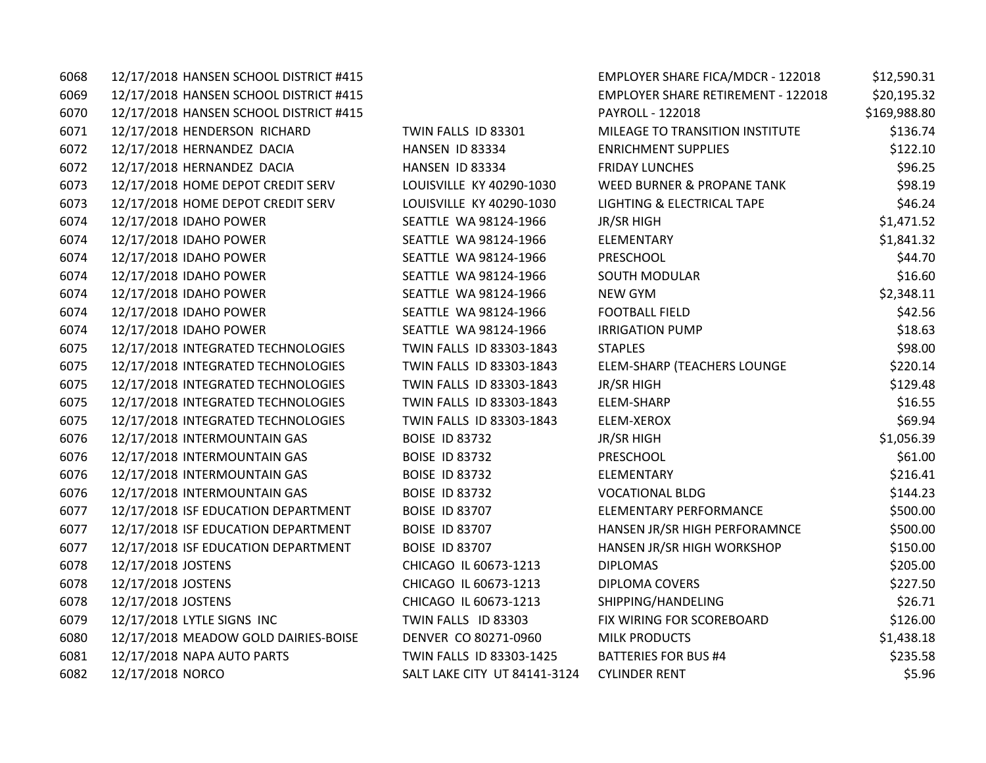6068 12/17/2018 HANSEN SCHOOL DISTRICT #415 FIGAL SHARE FIGAL SHARE FIGAL SHARE FIGAL SHARE FIGAL SHARE FIGAL SHA 6069 12/17/2018 HANSEN SCHOOL DISTRICT #415 EMPLOYER SHARE RETIREMENT SHARE RETIREMENT SHARE RETIREMENT SAMPLO 6070 12/17/2018 HANSEN SCHOOL DISTRICT #415 PAYROLL - 120018 12 6071 12/17/2018 HENDERSON RICHARD TWIN FALLS ID 83301 M 6072 12/17/2018 HERNANDEZ DACIA THE HANSEN ID 83334 ENRICHMENT SUPPLIES & THE 6072 12/17/2018 HERNANDEZ DACIA FRIDAY HANSEN ID 83334 6073 12/17/2018 HOME DEPOT CREDIT SERV LOUISVILLE KY 40290-1030 W 6073 12/17/2018 HOME DEPOT CREDIT SERV LOUISVILLE KY 40290-1030 L 6074 12/17/2018 IDAHO POWER SEATTLE WA 98124-1966 JI 6074 12/17/2018 IDAHO POWER SEATTLE WA 98124-1966 E 6074 12/17/2018 IDAHO POWER SEATTLE WA 98124-1966 P 6074 12/17/2018 IDAHO POWER SEATTLE WA 98124-1966 S 6074 12/17/2018 IDAHO POWER SEATTLE WA 98124-1966 NEW GYM \$2,348.11 6074 12/17/2018 IDAHO POWER SEATTLE WA 98124-1966 F 6074 12/17/2018 IDAHO POWER SEATTLE WA 98124-1966 IR 6075 12/17/2018 INTEGRATED TECHNOLOGIES TWIN FALLS ID 83303-1843 ST 6075 12/17/2018 INTEGRATED TECHNOLOGIES TWIN FALLS ID 83303-1843 E 6075 12/17/2018 INTEGRATED TECHNOLOGIES TWIN FALLS ID 83303-1843 JR 6075 12/17/2018 INTEGRATED TECHNOLOGIES TWIN FALLS ID 83303-1843 E 6075 12/17/2018 INTEGRATED TECHNOLOGIES TWIN FALLS ID 83303-1843 E 6076 12/17/2018 INTERMOUNTAIN GAS BOISE ID 83732 JI 6076 12/17/2018 INTERMOUNTAIN GAS BOISE ID 83732 P 6076 12/17/2018 INTERMOUNTAIN GAS BOISE ID 83732 ELEMENTARY \$216.411 6076 12/17/2018 INTERMOUNTAIN GAS BOISE ID 83732 VOCATION 6077 12/17/2018 ISF EDUCATION DEPARTMENT BOISE ID 83707 ELEMENT 6077 12/17/2018 ISF EDUCATION DEPARTMENT BOISE ID 83707 HAND 6077 12/17/2018 ISF EDUCATION DEPARTMENT BOISE ID 83707 HANGEL WORKSHOP BIGGER HAND 6078 12/17/2018 JOSTENS CHICAGO IL 60673-1213 DIPLOMAS \$205.00 6078 12/17/2018 JOSTENS **CHICAGO IL 60673-1213** D 6078 12/17/2018 JOSTENS **CHICAGO IL 60673-1213** S 6079 12/17/2018 LYTLE SIGNS INC TWIN FALLS ID 83303 F 6080 12/17/2018 MEADOW GOLD DAIRIES-BOISE BENVER CO 80271-0960 MIL 6081 12/17/2018 NAPA AUTO PARTS TWIN FALLS ID 83303-1425 B 6082 12/17/2018 NORCO SALT LAKE CITY UT 84141-3124 C

| MPLOYER SHARE FICA/MDCR - 122018             | \$12,590.31  |
|----------------------------------------------|--------------|
| MPLOYER SHARE RETIREMENT - 122018            | \$20,195.32  |
| AYROLL - 122018                              | \$169,988.80 |
| <b>MILEAGE TO TRANSITION INSTITUTE</b>       | \$136.74     |
| <b>INRICHMENT SUPPLIES</b>                   | \$122.10     |
| <b>RIDAY LUNCHES</b>                         | \$96.25      |
| <b><i>NEED BURNER &amp; PROPANE TANK</i></b> | \$98.19      |
| IGHTING & ELECTRICAL TAPE                    | \$46.24      |
| R/SR HIGH                                    | \$1,471.52   |
| <b>LEMENTARY</b>                             | \$1,841.32   |
| <b>PRESCHOOL</b>                             | \$44.70      |
| <b>OUTH MODULAR</b>                          | \$16.60      |
| <b>JEW GYM</b>                               | \$2,348.11   |
| OOTBALL FIELD                                | \$42.56      |
| RRIGATION PUMP                               | \$18.63      |
| <b>TAPLES</b>                                | \$98.00      |
| <b>LEM-SHARP (TEACHERS LOUNGE</b>            | \$220.14     |
| R/SR HIGH                                    | \$129.48     |
| <b>LEM-SHARP</b>                             | \$16.55      |
| <b>LEM-XEROX</b>                             | \$69.94      |
| R/SR HIGH                                    | \$1,056.39   |
| <b>RESCHOOL</b>                              | \$61.00      |
| <b>LEMENTARY</b>                             | \$216.41     |
| <b>/OCATIONAL BLDG</b>                       | \$144.23     |
| <b>LEMENTARY PERFORMANCE</b>                 | \$500.00     |
| <b>HANSEN JR/SR HIGH PERFORAMNCE</b>         | \$500.00     |
| <b>HANSEN JR/SR HIGH WORKSHOP</b>            | \$150.00     |
| <b>DIPLOMAS</b>                              | \$205.00     |
| <b>JIPLOMA COVERS</b>                        | \$227.50     |
| HIPPING/HANDELING                            | \$26.71      |
| IX WIRING FOR SCOREBOARD                     | \$126.00     |
| <b>MILK PRODUCTS</b>                         | \$1,438.18   |
| <b>BATTERIES FOR BUS #4</b>                  | \$235.58     |
| <b>YLINDER RENT</b>                          | \$5.96       |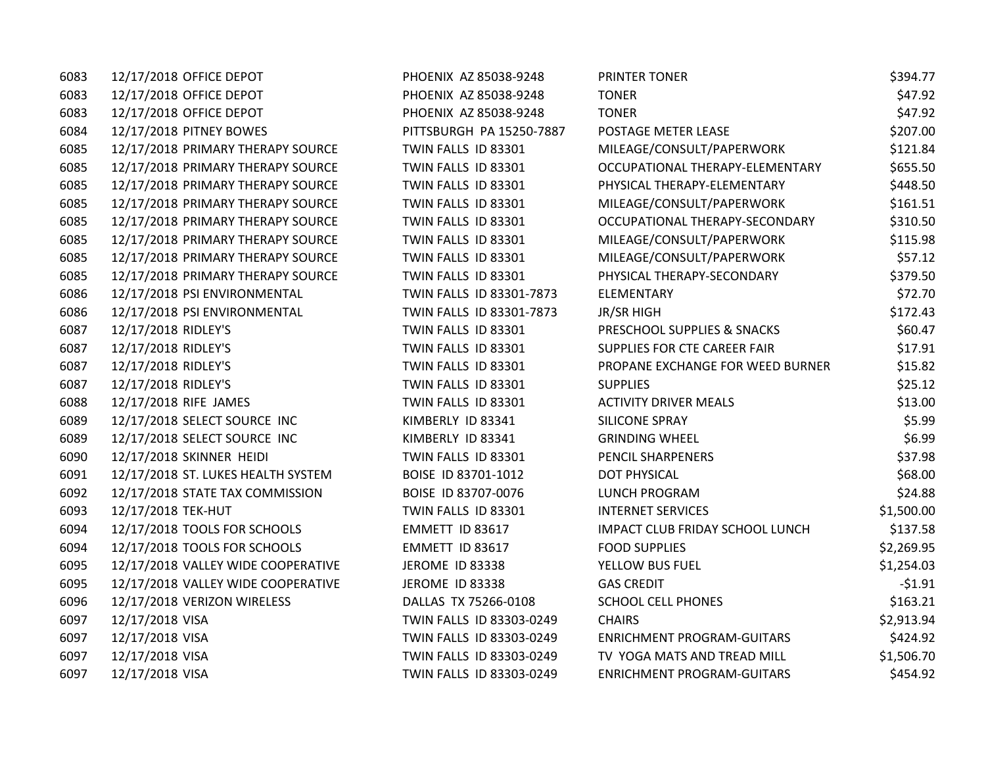| 6083 | 12/17/2018 OFFICE DEPOT            | PHOENIX AZ 85038-9248    | PRINTER TONER                     | \$394.77   |
|------|------------------------------------|--------------------------|-----------------------------------|------------|
| 6083 | 12/17/2018 OFFICE DEPOT            | PHOENIX AZ 85038-9248    | <b>TONER</b>                      | \$47.92    |
| 6083 | 12/17/2018 OFFICE DEPOT            | PHOENIX AZ 85038-9248    | <b>TONER</b>                      | \$47.92    |
| 6084 | 12/17/2018 PITNEY BOWES            | PITTSBURGH PA 15250-7887 | POSTAGE METER LEASE               | \$207.00   |
| 6085 | 12/17/2018 PRIMARY THERAPY SOURCE  | TWIN FALLS ID 83301      | MILEAGE/CONSULT/PAPERWORK         | \$121.84   |
| 6085 | 12/17/2018 PRIMARY THERAPY SOURCE  | TWIN FALLS ID 83301      | OCCUPATIONAL THERAPY-ELEMENTARY   | \$655.50   |
| 6085 | 12/17/2018 PRIMARY THERAPY SOURCE  | TWIN FALLS ID 83301      | PHYSICAL THERAPY-ELEMENTARY       | \$448.50   |
| 6085 | 12/17/2018 PRIMARY THERAPY SOURCE  | TWIN FALLS ID 83301      | MILEAGE/CONSULT/PAPERWORK         | \$161.51   |
| 6085 | 12/17/2018 PRIMARY THERAPY SOURCE  | TWIN FALLS ID 83301      | OCCUPATIONAL THERAPY-SECONDARY    | \$310.50   |
| 6085 | 12/17/2018 PRIMARY THERAPY SOURCE  | TWIN FALLS ID 83301      | MILEAGE/CONSULT/PAPERWORK         | \$115.98   |
| 6085 | 12/17/2018 PRIMARY THERAPY SOURCE  | TWIN FALLS ID 83301      | MILEAGE/CONSULT/PAPERWORK         | \$57.12    |
| 6085 | 12/17/2018 PRIMARY THERAPY SOURCE  | TWIN FALLS ID 83301      | PHYSICAL THERAPY-SECONDARY        | \$379.50   |
| 6086 | 12/17/2018 PSI ENVIRONMENTAL       | TWIN FALLS ID 83301-7873 | ELEMENTARY                        | \$72.70    |
| 6086 | 12/17/2018 PSI ENVIRONMENTAL       | TWIN FALLS ID 83301-7873 | JR/SR HIGH                        | \$172.43   |
| 6087 | 12/17/2018 RIDLEY'S                | TWIN FALLS ID 83301      | PRESCHOOL SUPPLIES & SNACKS       | \$60.47    |
| 6087 | 12/17/2018 RIDLEY'S                | TWIN FALLS ID 83301      | SUPPLIES FOR CTE CAREER FAIR      | \$17.91    |
| 6087 | 12/17/2018 RIDLEY'S                | TWIN FALLS ID 83301      | PROPANE EXCHANGE FOR WEED BURNER  | \$15.82    |
| 6087 | 12/17/2018 RIDLEY'S                | TWIN FALLS ID 83301      | <b>SUPPLIES</b>                   | \$25.12    |
| 6088 | 12/17/2018 RIFE JAMES              | TWIN FALLS ID 83301      | <b>ACTIVITY DRIVER MEALS</b>      | \$13.00    |
| 6089 | 12/17/2018 SELECT SOURCE INC       | KIMBERLY ID 83341        | <b>SILICONE SPRAY</b>             | \$5.99     |
| 6089 | 12/17/2018 SELECT SOURCE INC       | KIMBERLY ID 83341        | <b>GRINDING WHEEL</b>             | \$6.99     |
| 6090 | 12/17/2018 SKINNER HEIDI           | TWIN FALLS ID 83301      | PENCIL SHARPENERS                 | \$37.98    |
| 6091 | 12/17/2018 ST. LUKES HEALTH SYSTEM | BOISE ID 83701-1012      | <b>DOT PHYSICAL</b>               | \$68.00    |
| 6092 | 12/17/2018 STATE TAX COMMISSION    | BOISE ID 83707-0076      | <b>LUNCH PROGRAM</b>              | \$24.88    |
| 6093 | 12/17/2018 TEK-HUT                 | TWIN FALLS ID 83301      | <b>INTERNET SERVICES</b>          | \$1,500.00 |
| 6094 | 12/17/2018 TOOLS FOR SCHOOLS       | EMMETT ID 83617          | IMPACT CLUB FRIDAY SCHOOL LUNCH   | \$137.58   |
| 6094 | 12/17/2018 TOOLS FOR SCHOOLS       | EMMETT ID 83617          | <b>FOOD SUPPLIES</b>              | \$2,269.95 |
| 6095 | 12/17/2018 VALLEY WIDE COOPERATIVE | JEROME ID 83338          | YELLOW BUS FUEL                   | \$1,254.03 |
| 6095 | 12/17/2018 VALLEY WIDE COOPERATIVE | <b>JEROME ID 83338</b>   | <b>GAS CREDIT</b>                 | $-51.91$   |
| 6096 | 12/17/2018 VERIZON WIRELESS        | DALLAS TX 75266-0108     | <b>SCHOOL CELL PHONES</b>         | \$163.21   |
| 6097 | 12/17/2018 VISA                    | TWIN FALLS ID 83303-0249 | <b>CHAIRS</b>                     | \$2,913.94 |
| 6097 | 12/17/2018 VISA                    | TWIN FALLS ID 83303-0249 | <b>ENRICHMENT PROGRAM-GUITARS</b> | \$424.92   |
| 6097 | 12/17/2018 VISA                    | TWIN FALLS ID 83303-0249 | TV YOGA MATS AND TREAD MILL       | \$1,506.70 |
| 6097 | 12/17/2018 VISA                    | TWIN FALLS ID 83303-0249 | <b>ENRICHMENT PROGRAM-GUITARS</b> | \$454.92   |
|      |                                    |                          |                                   |            |